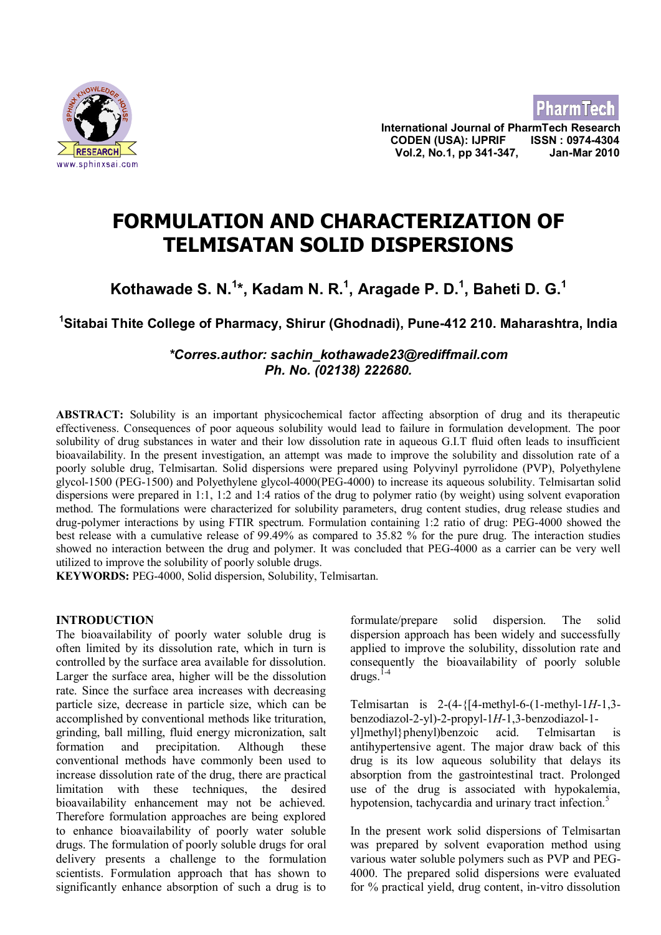

**International Journal of PharmTech Research CODEN (USA): IJPRIF ISSN : 0974-4304 Vol.2, No.1, pp 341-347, Jan-Mar 2010**

**PharmTech** 

# **FORMULATION AND CHARACTERIZATION OF TELMISATAN SOLID DISPERSIONS**

## **Kothawade S. N.<sup>1</sup> \*, Kadam N. R.<sup>1</sup> , Aragade P. D.<sup>1</sup> , Baheti D. G.<sup>1</sup>**

## **<sup>1</sup>Sitabai Thite College of Pharmacy, Shirur (Ghodnadi), Pune-412 210. Maharashtra, India**

## *\*Corres.author: sachin\_kothawade23@rediffmail.com Ph. No. (02138) 222680.*

**ABSTRACT:** Solubility is an important physicochemical factor affecting absorption of drug and its therapeutic effectiveness. Consequences of poor aqueous solubility would lead to failure in formulation development. The poor solubility of drug substances in water and their low dissolution rate in aqueous G.I.T fluid often leads to insufficient bioavailability. In the present investigation, an attempt was made to improve the solubility and dissolution rate of a poorly soluble drug, Telmisartan. Solid dispersions were prepared using Polyvinyl pyrrolidone (PVP), Polyethylene glycol-1500 (PEG-1500) and Polyethylene glycol-4000(PEG-4000) to increase its aqueous solubility. Telmisartan solid dispersions were prepared in 1:1, 1:2 and 1:4 ratios of the drug to polymer ratio (by weight) using solvent evaporation method. The formulations were characterized for solubility parameters, drug content studies, drug release studies and drug-polymer interactions by using FTIR spectrum. Formulation containing 1:2 ratio of drug: PEG-4000 showed the best release with a cumulative release of 99.49% as compared to 35.82 % for the pure drug. The interaction studies showed no interaction between the drug and polymer. It was concluded that PEG-4000 as a carrier can be very well utilized to improve the solubility of poorly soluble drugs.

**KEYWORDS:** PEG-4000, Solid dispersion, Solubility, Telmisartan.

## **INTRODUCTION**

The bioavailability of poorly water soluble drug is often limited by its dissolution rate, which in turn is controlled by the surface area available for dissolution. Larger the surface area, higher will be the dissolution rate. Since the surface area increases with decreasing particle size, decrease in particle size, which can be accomplished by conventional methods like trituration, grinding, ball milling, fluid energy micronization, salt formation and precipitation. Although these conventional methods have commonly been used to increase dissolution rate of the drug, there are practical limitation with these techniques, the desired bioavailability enhancement may not be achieved. Therefore formulation approaches are being explored to enhance bioavailability of poorly water soluble drugs. The formulation of poorly soluble drugs for oral delivery presents a challenge to the formulation scientists. Formulation approach that has shown to significantly enhance absorption of such a drug is to formulate/prepare solid dispersion. The solid dispersion approach has been widely and successfully applied to improve the solubility, dissolution rate and consequently the bioavailability of poorly soluble  $d$ rugs<sup> $1-4$ </sup>

Telmisartan is 2-(4-{[4-methyl-6-(1-methyl-1*H*-1,3 benzodiazol-2-yl)-2-propyl-1*H*-1,3-benzodiazol-1 yl]methyl}phenyl)benzoic acid. Telmisartan is antihypertensive agent. The major draw back of this drug is its low aqueous solubility that delays its absorption from the gastrointestinal tract. Prolonged use of the drug is associated with hypokalemia, hypotension, tachycardia and urinary tract infection.<sup>5</sup>

In the present work solid dispersions of Telmisartan was prepared by solvent evaporation method using various water soluble polymers such as PVP and PEG-4000. The prepared solid dispersions were evaluated for % practical yield, drug content, in-vitro dissolution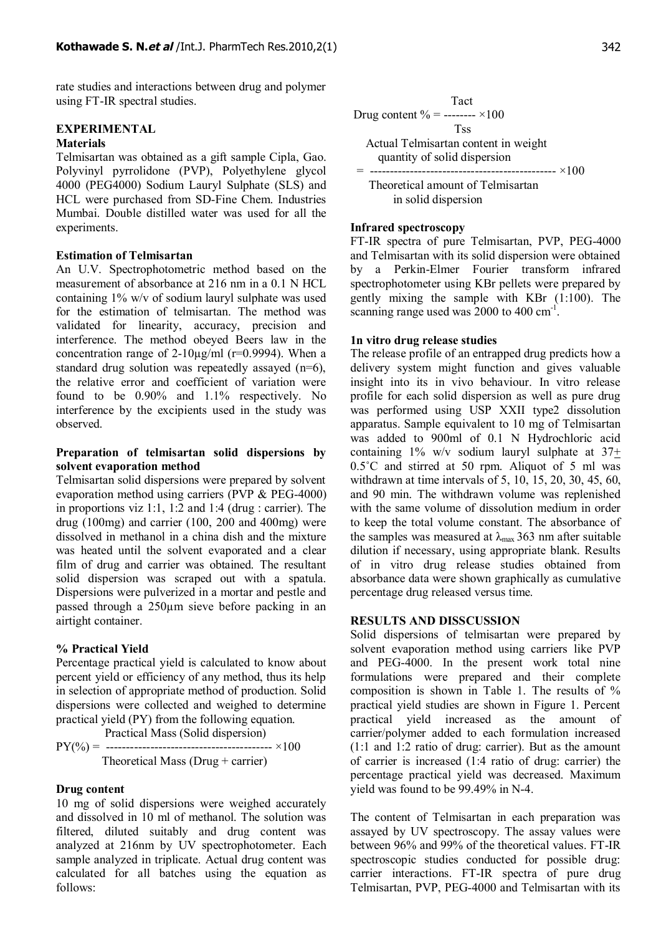rate studies and interactions between drug and polymer using FT-IR spectral studies.

## **EXPERIMENTAL**

## **Materials**

Telmisartan was obtained as a gift sample Cipla, Gao. Polyvinyl pyrrolidone (PVP), Polyethylene glycol 4000 (PEG4000) Sodium Lauryl Sulphate (SLS) and HCL were purchased from SD-Fine Chem. Industries Mumbai. Double distilled water was used for all the experiments.

#### **Estimation of Telmisartan**

An U.V. Spectrophotometric method based on the measurement of absorbance at 216 nm in a 0.1 N HCL containing 1% w/v of sodium lauryl sulphate was used for the estimation of telmisartan. The method was validated for linearity, accuracy, precision and interference. The method obeyed Beers law in the concentration range of  $2-10\mu g/ml$  (r=0.9994). When a standard drug solution was repeatedly assayed (n=6), the relative error and coefficient of variation were found to be 0.90% and 1.1% respectively. No interference by the excipients used in the study was observed.

### **Preparation of telmisartan solid dispersions by solvent evaporation method**

Telmisartan solid dispersions were prepared by solvent evaporation method using carriers (PVP & PEG-4000) in proportions viz 1:1, 1:2 and 1:4 (drug : carrier). The drug (100mg) and carrier (100, 200 and 400mg) were dissolved in methanol in a china dish and the mixture was heated until the solvent evaporated and a clear film of drug and carrier was obtained. The resultant solid dispersion was scraped out with a spatula. Dispersions were pulverized in a mortar and pestle and passed through a 250µm sieve before packing in an airtight container.

#### **% Practical Yield**

Percentage practical yield is calculated to know about percent yield or efficiency of any method, thus its help in selection of appropriate method of production. Solid dispersions were collected and weighed to determine practical yield (PY) from the following equation.

 Practical Mass (Solid dispersion) PY(%) = ----------------------------------------- ×100 Theoretical Mass (Drug + carrier)

#### **Drug content**

10 mg of solid dispersions were weighed accurately and dissolved in 10 ml of methanol. The solution was filtered, diluted suitably and drug content was analyzed at 216nm by UV spectrophotometer. Each sample analyzed in triplicate. Actual drug content was calculated for all batches using the equation as follows:



#### **Infrared spectroscopy**

FT-IR spectra of pure Telmisartan, PVP, PEG-4000 and Telmisartan with its solid dispersion were obtained by a Perkin-Elmer Fourier transform infrared spectrophotometer using KBr pellets were prepared by gently mixing the sample with KBr (1:100). The scanning range used was 2000 to 400 cm<sup>-1</sup>.

#### **1n vitro drug release studies**

The release profile of an entrapped drug predicts how a delivery system might function and gives valuable insight into its in vivo behaviour. In vitro release profile for each solid dispersion as well as pure drug was performed using USP XXII type2 dissolution apparatus. Sample equivalent to 10 mg of Telmisartan was added to 900ml of 0.1 N Hydrochloric acid containing 1% w/v sodium lauryl sulphate at  $37<sup>+</sup>$ 0.5˚C and stirred at 50 rpm. Aliquot of 5 ml was withdrawn at time intervals of 5, 10, 15, 20, 30, 45, 60, and 90 min. The withdrawn volume was replenished with the same volume of dissolution medium in order to keep the total volume constant. The absorbance of the samples was measured at  $\lambda_{\text{max}}$  363 nm after suitable dilution if necessary, using appropriate blank. Results of in vitro drug release studies obtained from absorbance data were shown graphically as cumulative percentage drug released versus time.

#### **RESULTS AND DISSCUSSION**

Solid dispersions of telmisartan were prepared by solvent evaporation method using carriers like PVP and PEG-4000. In the present work total nine formulations were prepared and their complete composition is shown in Table 1. The results of % practical yield studies are shown in Figure 1. Percent practical yield increased as the amount of carrier/polymer added to each formulation increased (1:1 and 1:2 ratio of drug: carrier). But as the amount of carrier is increased (1:4 ratio of drug: carrier) the percentage practical yield was decreased. Maximum yield was found to be 99.49% in N-4.

The content of Telmisartan in each preparation was assayed by UV spectroscopy. The assay values were between 96% and 99% of the theoretical values. FT-IR spectroscopic studies conducted for possible drug: carrier interactions. FT-IR spectra of pure drug Telmisartan, PVP, PEG-4000 and Telmisartan with its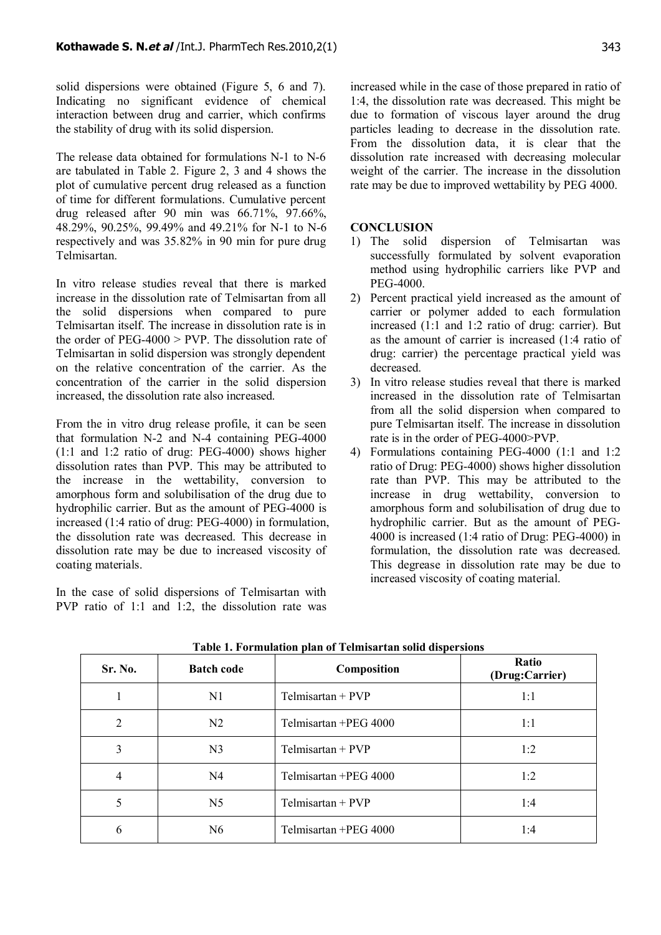solid dispersions were obtained (Figure 5, 6 and 7). Indicating no significant evidence of chemical interaction between drug and carrier, which confirms the stability of drug with its solid dispersion.

The release data obtained for formulations N-1 to N-6 are tabulated in Table 2. Figure 2, 3 and 4 shows the plot of cumulative percent drug released as a function of time for different formulations. Cumulative percent drug released after 90 min was 66.71%, 97.66%, 48.29%, 90.25%, 99.49% and 49.21% for N-1 to N-6 respectively and was 35.82% in 90 min for pure drug Telmisartan.

In vitro release studies reveal that there is marked increase in the dissolution rate of Telmisartan from all the solid dispersions when compared to pure Telmisartan itself. The increase in dissolution rate is in the order of PEG-4000  $>$  PVP. The dissolution rate of Telmisartan in solid dispersion was strongly dependent on the relative concentration of the carrier. As the concentration of the carrier in the solid dispersion increased, the dissolution rate also increased.

From the in vitro drug release profile, it can be seen that formulation N-2 and N-4 containing PEG-4000 (1:1 and 1:2 ratio of drug: PEG-4000) shows higher dissolution rates than PVP. This may be attributed to the increase in the wettability, conversion to amorphous form and solubilisation of the drug due to hydrophilic carrier. But as the amount of PEG-4000 is increased (1:4 ratio of drug: PEG-4000) in formulation, the dissolution rate was decreased. This decrease in dissolution rate may be due to increased viscosity of coating materials.

In the case of solid dispersions of Telmisartan with PVP ratio of 1:1 and 1:2, the dissolution rate was increased while in the case of those prepared in ratio of 1:4, the dissolution rate was decreased. This might be due to formation of viscous layer around the drug particles leading to decrease in the dissolution rate. From the dissolution data, it is clear that the dissolution rate increased with decreasing molecular weight of the carrier. The increase in the dissolution rate may be due to improved wettability by PEG 4000.

## **CONCLUSION**

- 1) The solid dispersion of Telmisartan was successfully formulated by solvent evaporation method using hydrophilic carriers like PVP and PEG-4000.
- 2) Percent practical yield increased as the amount of carrier or polymer added to each formulation increased (1:1 and 1:2 ratio of drug: carrier). But as the amount of carrier is increased (1:4 ratio of drug: carrier) the percentage practical yield was decreased.
- 3) In vitro release studies reveal that there is marked increased in the dissolution rate of Telmisartan from all the solid dispersion when compared to pure Telmisartan itself. The increase in dissolution rate is in the order of PEG-4000>PVP.
- 4) Formulations containing PEG-4000 (1:1 and 1:2 ratio of Drug: PEG-4000) shows higher dissolution rate than PVP. This may be attributed to the increase in drug wettability, conversion to amorphous form and solubilisation of drug due to hydrophilic carrier. But as the amount of PEG-4000 is increased (1:4 ratio of Drug: PEG-4000) in formulation, the dissolution rate was decreased. This degrease in dissolution rate may be due to increased viscosity of coating material.

| Sr. No. | <b>Batch code</b> | Composition           | Ratio<br>(Drug:Carrier) |  |
|---------|-------------------|-----------------------|-------------------------|--|
|         | N1                | $Telmisartan + PVP$   | 1:1                     |  |
| 2       | N <sub>2</sub>    | Telmisartan +PEG 4000 | 1:1                     |  |
| 3       | N <sub>3</sub>    | $Telmisartan + PVP$   | 1:2                     |  |
| 4       | N <sub>4</sub>    | Telmisartan +PEG 4000 | 1:2                     |  |
| 5       | N <sub>5</sub>    | $Telmisartan + PVP$   | 1:4                     |  |
| 6       | N <sub>6</sub>    | Telmisartan +PEG 4000 | 1:4                     |  |

**Table 1. Formulation plan of Telmisartan solid dispersions**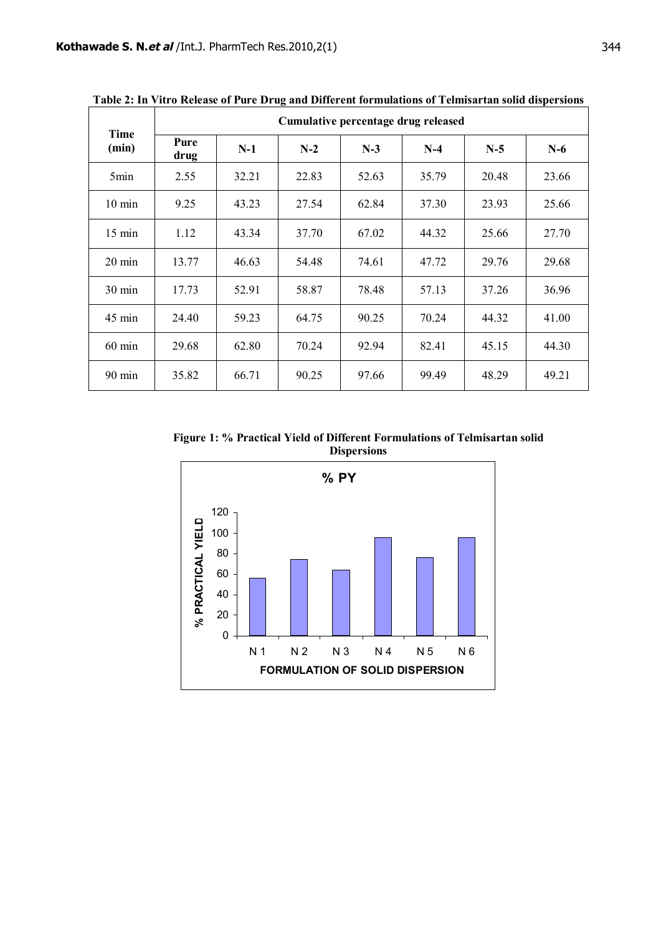| Time<br>(min)    | Cumulative percentage drug released |       |       |       |       |       |       |  |
|------------------|-------------------------------------|-------|-------|-------|-------|-------|-------|--|
|                  | Pure<br>drug                        | $N-1$ | $N-2$ | $N-3$ | $N-4$ | $N-5$ | $N-6$ |  |
| 5min             | 2.55                                | 32.21 | 22.83 | 52.63 | 35.79 | 20.48 | 23.66 |  |
| $10 \text{ min}$ | 9.25                                | 43.23 | 27.54 | 62.84 | 37.30 | 23.93 | 25.66 |  |
| $15 \text{ min}$ | 1.12                                | 43.34 | 37.70 | 67.02 | 44.32 | 25.66 | 27.70 |  |
| $20 \text{ min}$ | 13.77                               | 46.63 | 54.48 | 74.61 | 47.72 | 29.76 | 29.68 |  |
| $30 \text{ min}$ | 17.73                               | 52.91 | 58.87 | 78.48 | 57.13 | 37.26 | 36.96 |  |
| $45 \text{ min}$ | 24.40                               | 59.23 | 64.75 | 90.25 | 70.24 | 44.32 | 41.00 |  |
| $60$ min         | 29.68                               | 62.80 | 70.24 | 92.94 | 82.41 | 45.15 | 44.30 |  |
| $90 \text{ min}$ | 35.82                               | 66.71 | 90.25 | 97.66 | 99.49 | 48.29 | 49.21 |  |

**Table 2: In Vitro Release of Pure Drug and Different formulations of Telmisartan solid dispersions**

**Figure 1: % Practical Yield of Different Formulations of Telmisartan solid Dispersions**

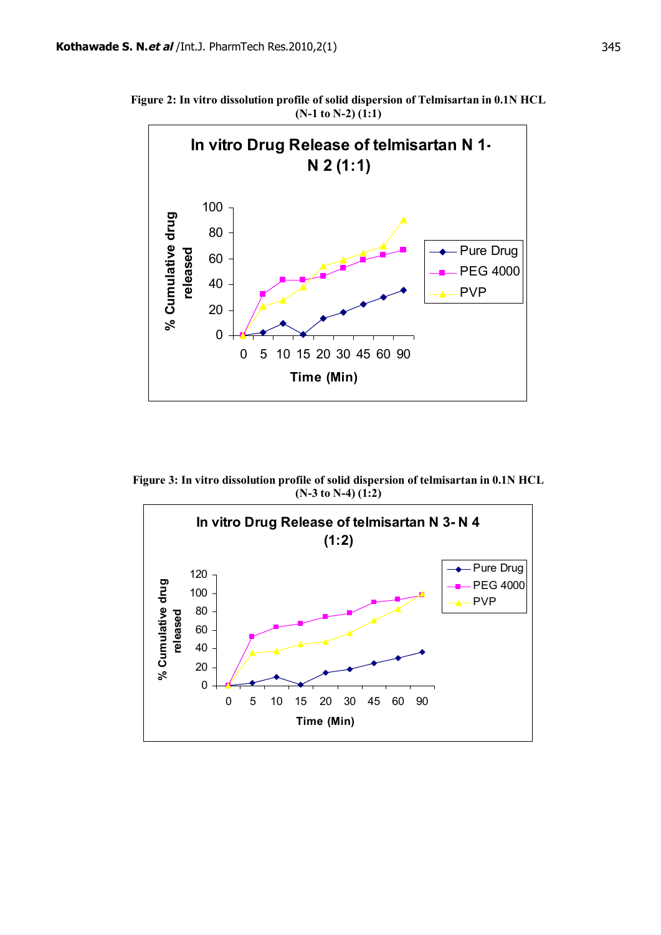**Figure 2: In vitro dissolution profile of solid dispersion of Telmisartan in 0.1N HCL (N-1 to N-2) (1:1)**



**Figure 3: In vitro dissolution profile of solid dispersion of telmisartan in 0.1N HCL (N-3 to N-4) (1:2)**

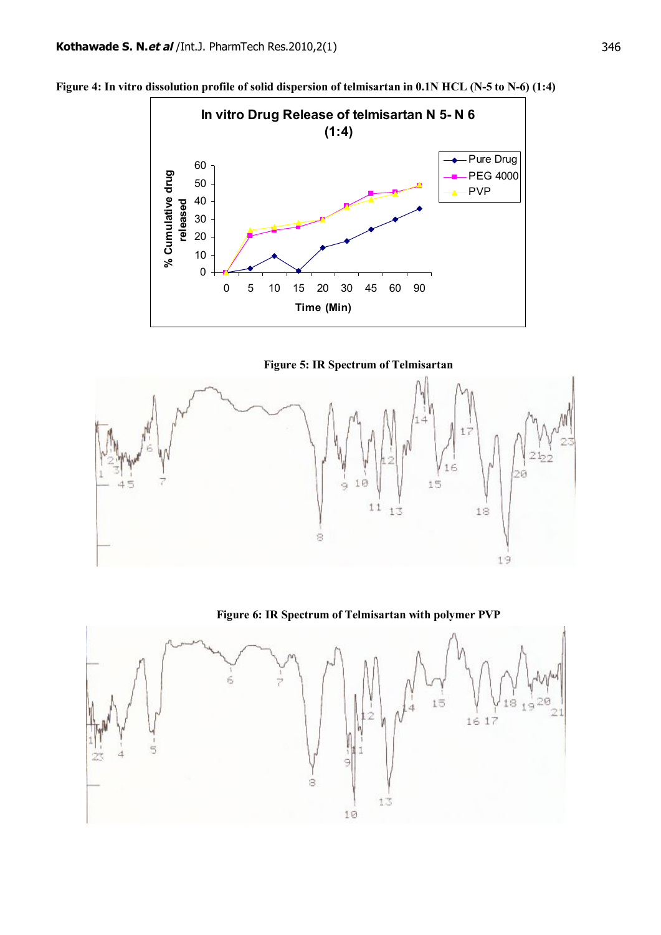

**Figure 4: In vitro dissolution profile of solid dispersion of telmisartan in 0.1N HCL (N-5 to N-6) (1:4)**





**Figure 6: IR Spectrum of Telmisartan with polymer PVP**